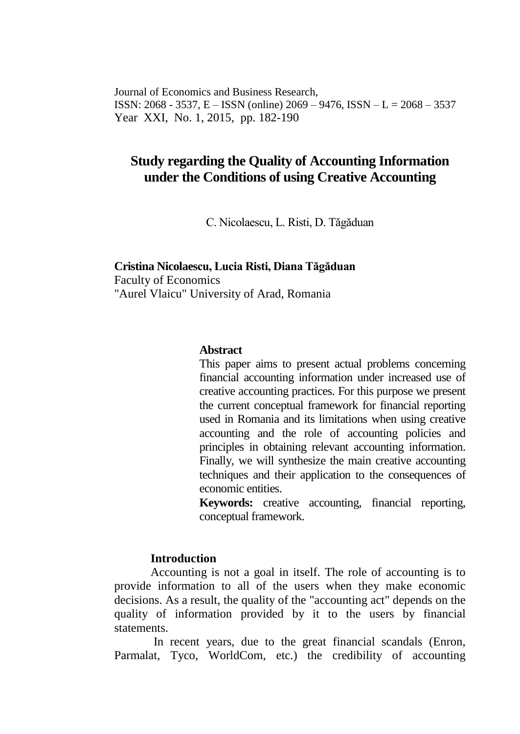Journal of Economics and Business Research, ISSN: 2068 - 3537, E – ISSN (online) 2069 – 9476, ISSN – L = 2068 – 3537 Year XXI, No. 1, 2015, pp. 182-190

# **Study regarding the Quality of Accounting Information under the Conditions of using Creative Accounting**

C. Nicolaescu, L. Risti, D. Tăgăduan

# **Cristina Nicolaescu, Lucia Risti, Diana Tăgăduan** Faculty of Economics "Aurel Vlaicu" University of Arad, Romania

#### **Abstract**

This paper aims to present actual problems concerning financial accounting information under increased use of creative accounting practices. For this purpose we present the current conceptual framework for financial reporting used in Romania and its limitations when using creative accounting and the role of accounting policies and principles in obtaining relevant accounting information. Finally, we will synthesize the main creative accounting techniques and their application to the consequences of economic entities.

**Keywords:** creative accounting, financial reporting, conceptual framework.

# **Introduction**

 Accounting is not a goal in itself. The role of accounting is to provide information to all of the users when they make economic decisions. As a result, the quality of the "accounting act" depends on the quality of information provided by it to the users by financial statements.

 In recent years, due to the great financial scandals (Enron, Parmalat, Tyco, WorldCom, etc.) the credibility of accounting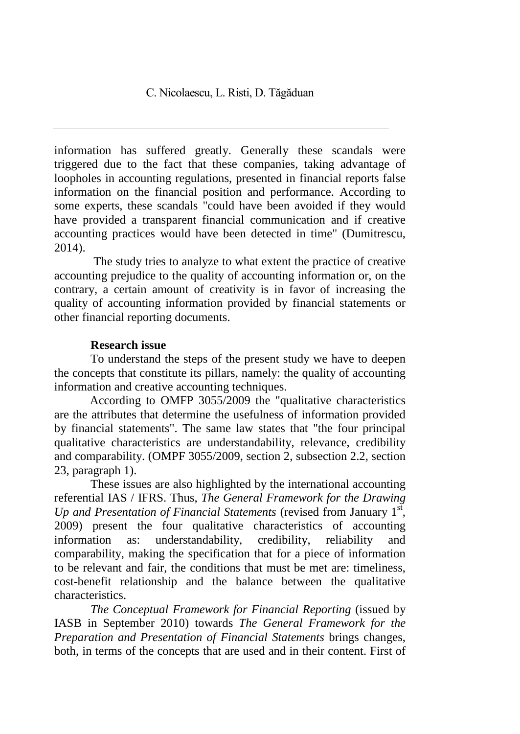information has suffered greatly. Generally these scandals were triggered due to the fact that these companies, taking advantage of loopholes in accounting regulations, presented in financial reports false information on the financial position and performance. According to some experts, these scandals "could have been avoided if they would have provided a transparent financial communication and if creative accounting practices would have been detected in time" (Dumitrescu, 2014).

 The study tries to analyze to what extent the practice of creative accounting prejudice to the quality of accounting information or, on the contrary, a certain amount of creativity is in favor of increasing the quality of accounting information provided by financial statements or other financial reporting documents.

### **Research issue**

To understand the steps of the present study we have to deepen the concepts that constitute its pillars, namely: the quality of accounting information and creative accounting techniques.

According to OMFP 3055/2009 the "qualitative characteristics are the attributes that determine the usefulness of information provided by financial statements". The same law states that "the four principal qualitative characteristics are understandability, relevance, credibility and comparability. (OMPF 3055/2009, section 2, subsection 2.2, section 23, paragraph 1).

 These issues are also highlighted by the international accounting referential IAS / IFRS. Thus, *The General Framework for the Drawing*  Up and Presentation of Financial Statements (revised from January 1<sup>st</sup>, 2009) present the four qualitative characteristics of accounting information as: understandability, credibility, reliability and comparability, making the specification that for a piece of information to be relevant and fair, the conditions that must be met are: timeliness, cost-benefit relationship and the balance between the qualitative characteristics.

*The Conceptual Framework for Financial Reporting* (issued by IASB in September 2010) towards *The General Framework for the Preparation and Presentation of Financial Statements* brings changes, both, in terms of the concepts that are used and in their content. First of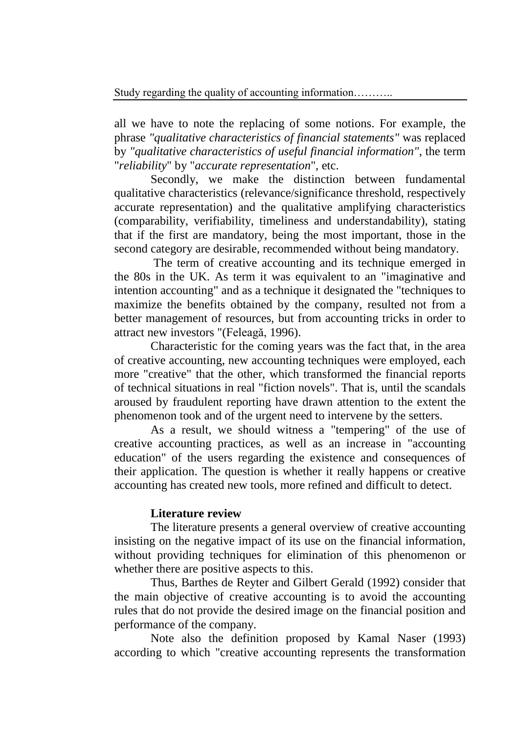all we have to note the replacing of some notions. For example, the phrase *"qualitative characteristics of financial statements"* was replaced by *"qualitative characteristics of useful financial information"*, the term "*reliability*" by "*accurate representation*", etc.

 Secondly, we make the distinction between fundamental qualitative characteristics (relevance/significance threshold, respectively accurate representation) and the qualitative amplifying characteristics (comparability, verifiability, timeliness and understandability), stating that if the first are mandatory, being the most important, those in the second category are desirable, recommended without being mandatory.

 The term of creative accounting and its technique emerged in the 80s in the UK. As term it was equivalent to an "imaginative and intention accounting" and as a technique it designated the "techniques to maximize the benefits obtained by the company, resulted not from a better management of resources, but from accounting tricks in order to attract new investors "(Feleagă, 1996).

 Characteristic for the coming years was the fact that, in the area of creative accounting, new accounting techniques were employed, each more "creative" that the other, which transformed the financial reports of technical situations in real "fiction novels". That is, until the scandals aroused by fraudulent reporting have drawn attention to the extent the phenomenon took and of the urgent need to intervene by the setters.

 As a result, we should witness a "tempering" of the use of creative accounting practices, as well as an increase in "accounting education" of the users regarding the existence and consequences of their application. The question is whether it really happens or creative accounting has created new tools, more refined and difficult to detect.

# **Literature review**

The literature presents a general overview of creative accounting insisting on the negative impact of its use on the financial information, without providing techniques for elimination of this phenomenon or whether there are positive aspects to this.

 Thus, Barthes de Reyter and Gilbert Gerald (1992) consider that the main objective of creative accounting is to avoid the accounting rules that do not provide the desired image on the financial position and performance of the company.

 Note also the definition proposed by Kamal Naser (1993) according to which "creative accounting represents the transformation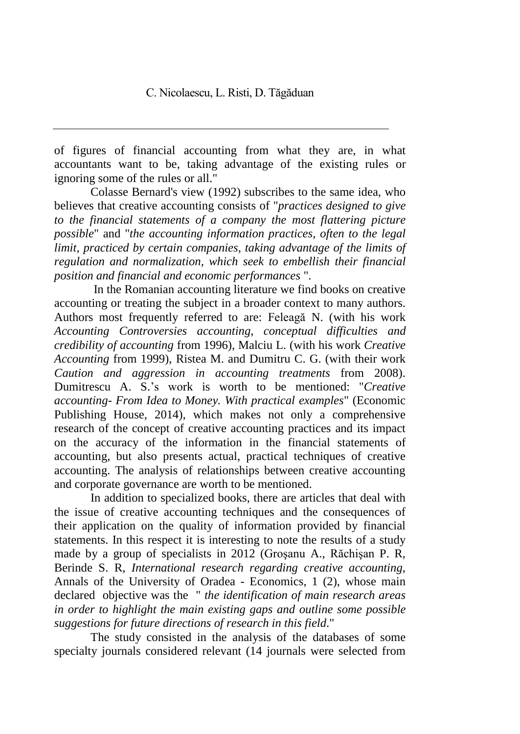of figures of financial accounting from what they are, in what accountants want to be, taking advantage of the existing rules or ignoring some of the rules or all."

 Colasse Bernard's view (1992) subscribes to the same idea, who believes that creative accounting consists of "*practices designed to give to the financial statements of a company the most flattering picture possible*" and "*the accounting information practices, often to the legal limit, practiced by certain companies, taking advantage of the limits of regulation and normalization, which seek to embellish their financial position and financial and economic performances* ".

In the Romanian accounting literature we find books on creative accounting or treating the subject in a broader context to many authors. Authors most frequently referred to are: Feleagă N. (with his work *Accounting Controversies accounting, conceptual difficulties and credibility of accounting* from 1996), Malciu L. (with his work *Creative Accounting* from 1999), Ristea M. and Dumitru C. G. (with their work *Caution and aggression in accounting treatments* from 2008). Dumitrescu A. S.'s work is worth to be mentioned: "*Creative accounting- From Idea to Money. With practical examples*" (Economic Publishing House, 2014), which makes not only a comprehensive research of the concept of creative accounting practices and its impact on the accuracy of the information in the financial statements of accounting, but also presents actual, practical techniques of creative accounting. The analysis of relationships between creative accounting and corporate governance are worth to be mentioned.

 In addition to specialized books, there are articles that deal with the issue of creative accounting techniques and the consequences of their application on the quality of information provided by financial statements. In this respect it is interesting to note the results of a study made by a group of specialists in 2012 (Groşanu A., Răchişan P. R, Berinde S. R, *International research regarding creative accounting*, Annals of the University of Oradea - Economics, 1 (2), whose main declared objective was the " *the identification of main research areas in order to highlight the main existing gaps and outline some possible suggestions for future directions of research in this field*."

The study consisted in the analysis of the databases of some specialty journals considered relevant (14 journals were selected from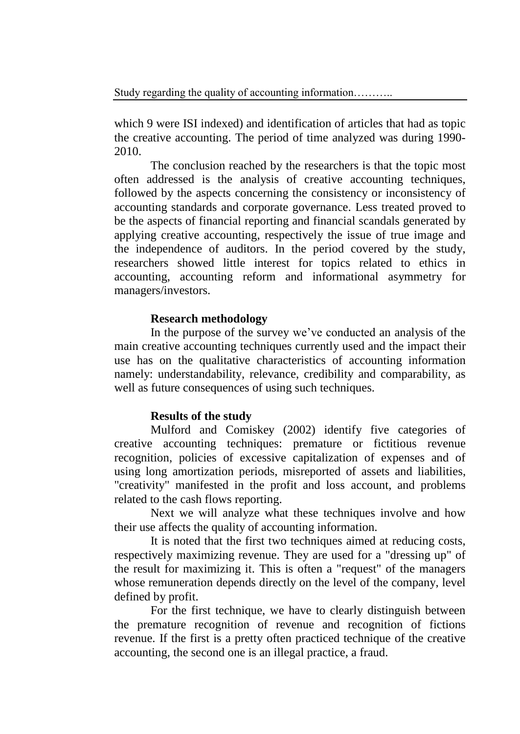which 9 were ISI indexed) and identification of articles that had as topic the creative accounting. The period of time analyzed was during 1990- 2010.

The conclusion reached by the researchers is that the topic most often addressed is the analysis of creative accounting techniques, followed by the aspects concerning the consistency or inconsistency of accounting standards and corporate governance. Less treated proved to be the aspects of financial reporting and financial scandals generated by applying creative accounting, respectively the issue of true image and the independence of auditors. In the period covered by the study, researchers showed little interest for topics related to ethics in accounting, accounting reform and informational asymmetry for managers/investors.

# **Research methodology**

In the purpose of the survey we've conducted an analysis of the main creative accounting techniques currently used and the impact their use has on the qualitative characteristics of accounting information namely: understandability, relevance, credibility and comparability, as well as future consequences of using such techniques.

# **Results of the study**

Mulford and Comiskey (2002) identify five categories of creative accounting techniques: premature or fictitious revenue recognition, policies of excessive capitalization of expenses and of using long amortization periods, misreported of assets and liabilities, "creativity" manifested in the profit and loss account, and problems related to the cash flows reporting.

Next we will analyze what these techniques involve and how their use affects the quality of accounting information.

It is noted that the first two techniques aimed at reducing costs, respectively maximizing revenue. They are used for a "dressing up" of the result for maximizing it. This is often a "request" of the managers whose remuneration depends directly on the level of the company, level defined by profit.

For the first technique, we have to clearly distinguish between the premature recognition of revenue and recognition of fictions revenue. If the first is a pretty often practiced technique of the creative accounting, the second one is an illegal practice, a fraud.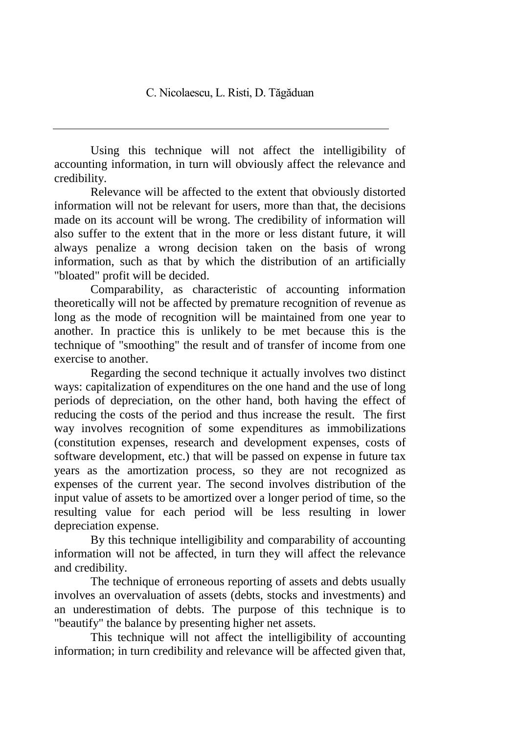Using this technique will not affect the intelligibility of accounting information, in turn will obviously affect the relevance and credibility.

Relevance will be affected to the extent that obviously distorted information will not be relevant for users, more than that, the decisions made on its account will be wrong. The credibility of information will also suffer to the extent that in the more or less distant future, it will always penalize a wrong decision taken on the basis of wrong information, such as that by which the distribution of an artificially "bloated" profit will be decided.

Comparability, as characteristic of accounting information theoretically will not be affected by premature recognition of revenue as long as the mode of recognition will be maintained from one year to another. In practice this is unlikely to be met because this is the technique of "smoothing" the result and of transfer of income from one exercise to another.

Regarding the second technique it actually involves two distinct ways: capitalization of expenditures on the one hand and the use of long periods of depreciation, on the other hand, both having the effect of reducing the costs of the period and thus increase the result. The first way involves recognition of some expenditures as immobilizations (constitution expenses, research and development expenses, costs of software development, etc.) that will be passed on expense in future tax years as the amortization process, so they are not recognized as expenses of the current year. The second involves distribution of the input value of assets to be amortized over a longer period of time, so the resulting value for each period will be less resulting in lower depreciation expense.

By this technique intelligibility and comparability of accounting information will not be affected, in turn they will affect the relevance and credibility.

The technique of erroneous reporting of assets and debts usually involves an overvaluation of assets (debts, stocks and investments) and an underestimation of debts. The purpose of this technique is to "beautify" the balance by presenting higher net assets.

This technique will not affect the intelligibility of accounting information; in turn credibility and relevance will be affected given that,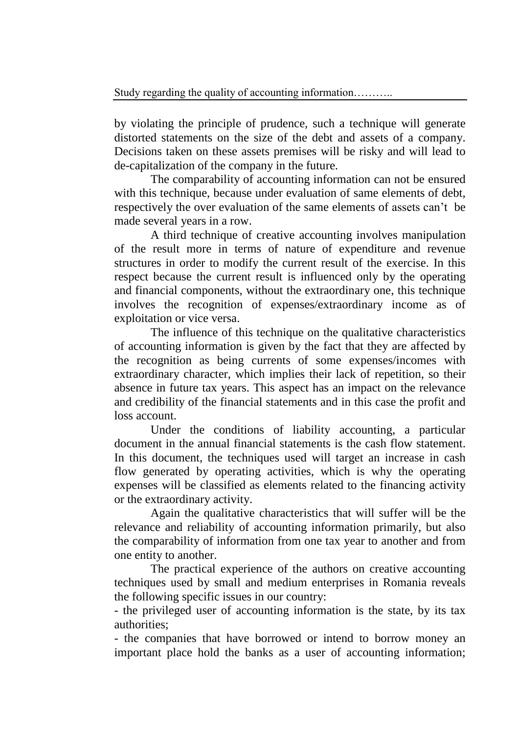by violating the principle of prudence, such a technique will generate distorted statements on the size of the debt and assets of a company. Decisions taken on these assets premises will be risky and will lead to de-capitalization of the company in the future.

The comparability of accounting information can not be ensured with this technique, because under evaluation of same elements of debt, respectively the over evaluation of the same elements of assets can't be made several years in a row.

A third technique of creative accounting involves manipulation of the result more in terms of nature of expenditure and revenue structures in order to modify the current result of the exercise. In this respect because the current result is influenced only by the operating and financial components, without the extraordinary one, this technique involves the recognition of expenses/extraordinary income as of exploitation or vice versa.

The influence of this technique on the qualitative characteristics of accounting information is given by the fact that they are affected by the recognition as being currents of some expenses/incomes with extraordinary character, which implies their lack of repetition, so their absence in future tax years. This aspect has an impact on the relevance and credibility of the financial statements and in this case the profit and loss account.

Under the conditions of liability accounting, a particular document in the annual financial statements is the cash flow statement. In this document, the techniques used will target an increase in cash flow generated by operating activities, which is why the operating expenses will be classified as elements related to the financing activity or the extraordinary activity.

Again the qualitative characteristics that will suffer will be the relevance and reliability of accounting information primarily, but also the comparability of information from one tax year to another and from one entity to another.

The practical experience of the authors on creative accounting techniques used by small and medium enterprises in Romania reveals the following specific issues in our country:

- the privileged user of accounting information is the state, by its tax authorities;

- the companies that have borrowed or intend to borrow money an important place hold the banks as a user of accounting information;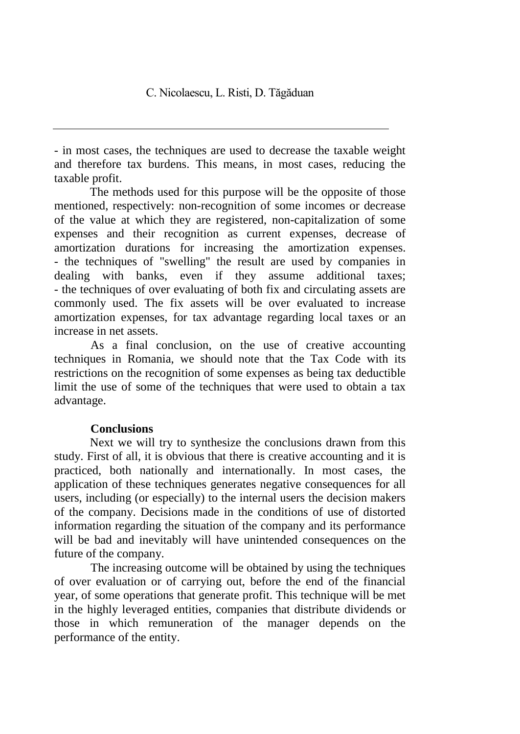- in most cases, the techniques are used to decrease the taxable weight and therefore tax burdens. This means, in most cases, reducing the taxable profit.

The methods used for this purpose will be the opposite of those mentioned, respectively: non-recognition of some incomes or decrease of the value at which they are registered, non-capitalization of some expenses and their recognition as current expenses, decrease of amortization durations for increasing the amortization expenses. - the techniques of "swelling" the result are used by companies in dealing with banks, even if they assume additional taxes; - the techniques of over evaluating of both fix and circulating assets are commonly used. The fix assets will be over evaluated to increase amortization expenses, for tax advantage regarding local taxes or an increase in net assets.

As a final conclusion, on the use of creative accounting techniques in Romania, we should note that the Tax Code with its restrictions on the recognition of some expenses as being tax deductible limit the use of some of the techniques that were used to obtain a tax advantage.

# **Conclusions**

Next we will try to synthesize the conclusions drawn from this study. First of all, it is obvious that there is creative accounting and it is practiced, both nationally and internationally. In most cases, the application of these techniques generates negative consequences for all users, including (or especially) to the internal users the decision makers of the company. Decisions made in the conditions of use of distorted information regarding the situation of the company and its performance will be bad and inevitably will have unintended consequences on the future of the company.

The increasing outcome will be obtained by using the techniques of over evaluation or of carrying out, before the end of the financial year, of some operations that generate profit. This technique will be met in the highly leveraged entities, companies that distribute dividends or those in which remuneration of the manager depends on the performance of the entity.